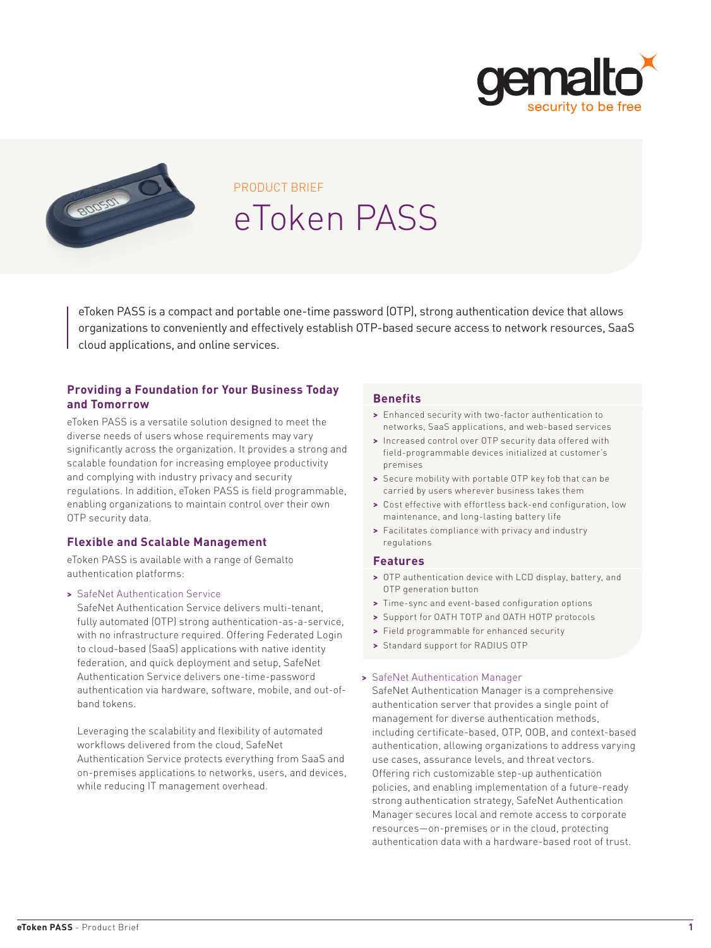



# PRODUCT BRIEF eToken PASS

eToken PASS is a compact and portable one-time password (OTP), strong authentication device that allows organizations to conveniently and effectively establish OTP-based secure access to network resources, SaaS cloud applications, and online services.

### **Providing a Foundation for Your Business Today and Tomorrow**

eToken PASS is a versatile solution designed to meet the diverse needs of users whose requirements may vary significantly across the organization. It provides a strong and scalable foundation for increasing employee productivity and complying with industry privacy and security regulations. In addition, eToken PASS is field programmable, enabling organizations to maintain control over their own OTP security data.

#### **Flexible and Scalable Management**

eToken PASS is available with a range of Gemalto authentication platforms:

#### **>** SafeNet Authentication Service

SafeNet Authentication Service delivers multi-tenant, fully automated (OTP) strong authentication-as-a-service, with no infrastructure required. Offering Federated Login to cloud-based (SaaS) applications with native identity federation, and quick deployment and setup, SafeNet Authentication Service delivers one-time-password authentication via hardware, software, mobile, and out-ofband tokens.

Leveraging the scalability and flexibility of automated workflows delivered from the cloud, SafeNet Authentication Service protects everything from SaaS and on-premises applications to networks, users, and devices, while reducing IT management overhead.

#### **Benefits**

- **>** Enhanced security with two-factor authentication to networks, SaaS applications, and web-based services
- **>** Increased control over OTP security data offered with field-programmable devices initialized at customer's premises
- **>** Secure mobility with portable OTP key fob that can be carried by users wherever business takes them
- **>** Cost effective with effortless back-end configuration, low maintenance, and long-lasting battery life
- **>** Facilitates compliance with privacy and industry regulations

#### **Features**

- **>** OTP authentication device with LCD display, battery, and OTP generation button
- **>** Time-sync and event-based configuration options
- **>** Support for OATH TOTP and OATH HOTP protocols
- **>** Field programmable for enhanced security
- **>** Standard support for RADIUS OTP

#### **>** SafeNet Authentication Manager

SafeNet Authentication Manager is a comprehensive authentication server that provides a single point of management for diverse authentication methods, including certificate-based, OTP, OOB, and context-based authentication, allowing organizations to address varying use cases, assurance levels, and threat vectors. Offering rich customizable step-up authentication policies, and enabling implementation of a future-ready strong authentication strategy, SafeNet Authentication Manager secures local and remote access to corporate resources—on-premises or in the cloud, protecting authentication data with a hardware-based root of trust.